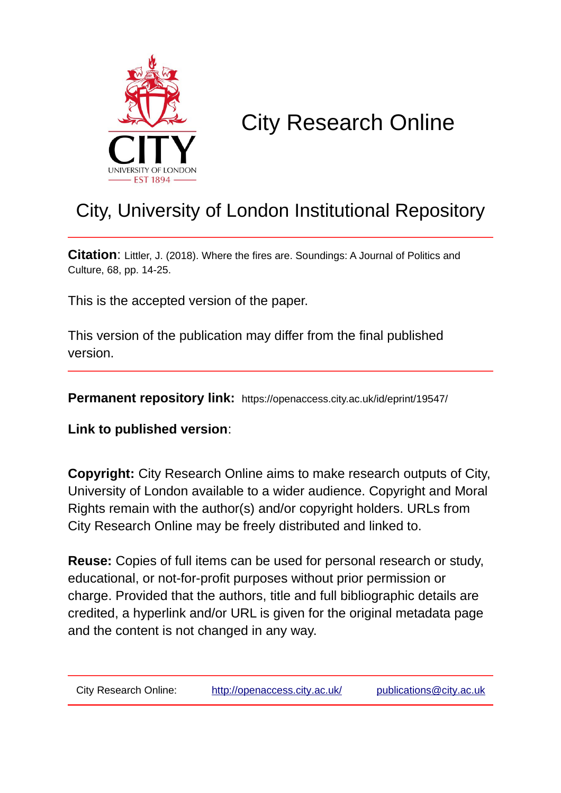

# City Research Online

# City, University of London Institutional Repository

**Citation**: Littler, J. (2018). Where the fires are. Soundings: A Journal of Politics and Culture, 68, pp. 14-25.

This is the accepted version of the paper.

This version of the publication may differ from the final published version.

**Permanent repository link:** https://openaccess.city.ac.uk/id/eprint/19547/

**Link to published version**:

**Copyright:** City Research Online aims to make research outputs of City, University of London available to a wider audience. Copyright and Moral Rights remain with the author(s) and/or copyright holders. URLs from City Research Online may be freely distributed and linked to.

**Reuse:** Copies of full items can be used for personal research or study, educational, or not-for-profit purposes without prior permission or charge. Provided that the authors, title and full bibliographic details are credited, a hyperlink and/or URL is given for the original metadata page and the content is not changed in any way.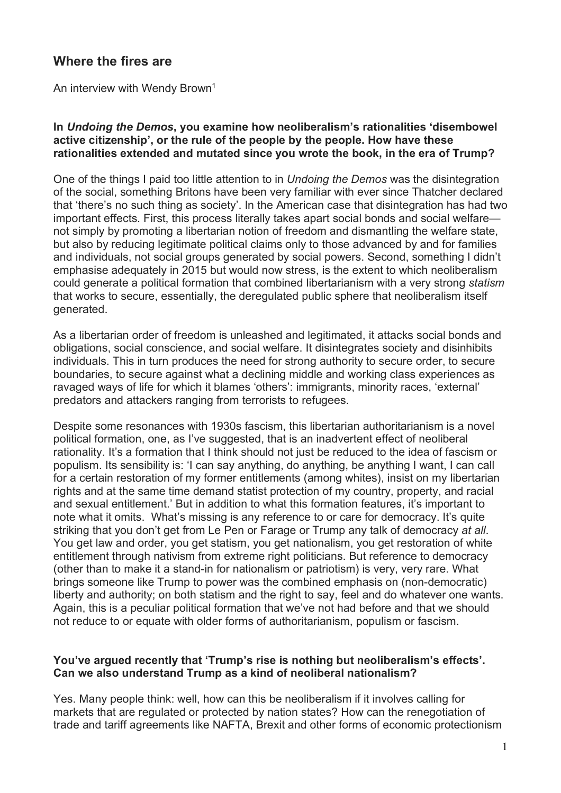# **Where the fires are**

An interview with Wendy Brown<sup>1</sup>

## **In** *Undoing the Demos***, you examine how neoliberalism's rationalities 'disembowel active citizenship', or the rule of the people by the people. How have these rationalities extended and mutated since you wrote the book, in the era of Trump?**

One of the things I paid too little attention to in *Undoing the Demos* was the disintegration of the social, something Britons have been very familiar with ever since Thatcher declared that 'there's no such thing as society'. In the American case that disintegration has had two important effects. First, this process literally takes apart social bonds and social welfare not simply by promoting a libertarian notion of freedom and dismantling the welfare state, but also by reducing legitimate political claims only to those advanced by and for families and individuals, not social groups generated by social powers. Second, something I didn't emphasise adequately in 2015 but would now stress, is the extent to which neoliberalism could generate a political formation that combined libertarianism with a very strong *statism* that works to secure, essentially, the deregulated public sphere that neoliberalism itself generated.

As a libertarian order of freedom is unleashed and legitimated, it attacks social bonds and obligations, social conscience, and social welfare. It disintegrates society and disinhibits individuals. This in turn produces the need for strong authority to secure order, to secure boundaries, to secure against what a declining middle and working class experiences as ravaged ways of life for which it blames 'others': immigrants, minority races, 'external' predators and attackers ranging from terrorists to refugees.

Despite some resonances with 1930s fascism, this libertarian authoritarianism is a novel political formation, one, as I've suggested, that is an inadvertent effect of neoliberal rationality. It's a formation that I think should not just be reduced to the idea of fascism or populism. Its sensibility is: 'I can say anything, do anything, be anything I want, I can call for a certain restoration of my former entitlements (among whites), insist on my libertarian rights and at the same time demand statist protection of my country, property, and racial and sexual entitlement.' But in addition to what this formation features, it's important to note what it omits. What's missing is any reference to or care for democracy. It's quite striking that you don't get from Le Pen or Farage or Trump any talk of democracy *at all*. You get law and order, you get statism, you get nationalism, you get restoration of white entitlement through nativism from extreme right politicians. But reference to democracy (other than to make it a stand-in for nationalism or patriotism) is very, very rare. What brings someone like Trump to power was the combined emphasis on (non-democratic) liberty and authority; on both statism and the right to say, feel and do whatever one wants. Again, this is a peculiar political formation that we've not had before and that we should not reduce to or equate with older forms of authoritarianism, populism or fascism.

## **You've argued recently that 'Trump's rise is nothing but neoliberalism's effects'. Can we also understand Trump as a kind of neoliberal nationalism?**

Yes. Many people think: well, how can this be neoliberalism if it involves calling for markets that are regulated or protected by nation states? How can the renegotiation of trade and tariff agreements like NAFTA, Brexit and other forms of economic protectionism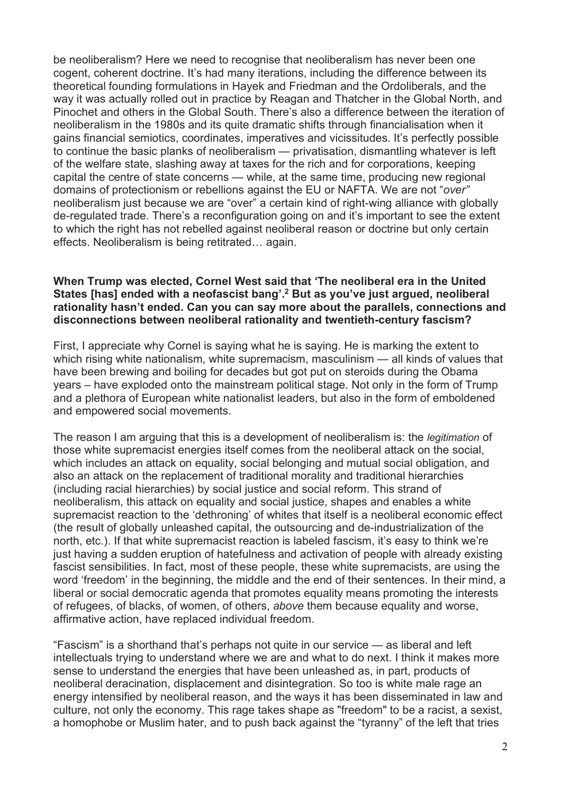be neoliberalism? Here we need to recognise that neoliberalism has never been one cogent, coherent doctrine. It's had many iterations, including the difference between its theoretical founding formulations in Hayek and Friedman and the Ordoliberals, and the way it was actually rolled out in practice by Reagan and Thatcher in the Global North, and Pinochet and others in the Global South. There's also a difference between the iteration of neoliberalism in the 1980s and its quite dramatic shifts through financialisation when it gains financial semiotics, coordinates, imperatives and vicissitudes. It's perfectly possible to continue the basic planks of neoliberalism — privatisation, dismantling whatever is left of the welfare state, slashing away at taxes for the rich and for corporations, keeping capital the centre of state concerns — while, at the same time, producing new regional domains of protectionism or rebellions against the EU or NAFTA. We are not "*over"* neoliberalism just because we are "over" a certain kind of right-wing alliance with globally de-regulated trade. There's a reconfiguration going on and it's important to see the extent to which the right has not rebelled against neoliberal reason or doctrine but only certain effects. Neoliberalism is being retitrated… again.

#### **When Trump was elected, Cornel West said that 'The neoliberal era in the United States [has] ended with a neofascist bang'.2 But as you've just argued, neoliberal rationality hasn't ended. Can you can say more about the parallels, connections and disconnections between neoliberal rationality and twentieth-century fascism?**

First, I appreciate why Cornel is saying what he is saying. He is marking the extent to which rising white nationalism, white supremacism, masculinism — all kinds of values that have been brewing and boiling for decades but got put on steroids during the Obama years – have exploded onto the mainstream political stage. Not only in the form of Trump and a plethora of European white nationalist leaders, but also in the form of emboldened and empowered social movements.

The reason I am arguing that this is a development of neoliberalism is: the *legitimation* of those white supremacist energies itself comes from the neoliberal attack on the social, which includes an attack on equality, social belonging and mutual social obligation, and also an attack on the replacement of traditional morality and traditional hierarchies (including racial hierarchies) by social justice and social reform. This strand of neoliberalism, this attack on equality and social justice, shapes and enables a white supremacist reaction to the 'dethroning' of whites that itself is a neoliberal economic effect (the result of globally unleashed capital, the outsourcing and de-industrialization of the north, etc.). If that white supremacist reaction is labeled fascism, it's easy to think we're just having a sudden eruption of hatefulness and activation of people with already existing fascist sensibilities. In fact, most of these people, these white supremacists, are using the word 'freedom' in the beginning, the middle and the end of their sentences. In their mind, a liberal or social democratic agenda that promotes equality means promoting the interests of refugees, of blacks, of women, of others, *above* them because equality and worse, affirmative action, have replaced individual freedom.

"Fascism" is a shorthand that's perhaps not quite in our service — as liberal and left intellectuals trying to understand where we are and what to do next. I think it makes more sense to understand the energies that have been unleashed as, in part, products of neoliberal deracination, displacement and disintegration. So too is white male rage an energy intensified by neoliberal reason, and the ways it has been disseminated in law and culture, not only the economy. This rage takes shape as "freedom" to be a racist, a sexist, a homophobe or Muslim hater, and to push back against the "tyranny" of the left that tries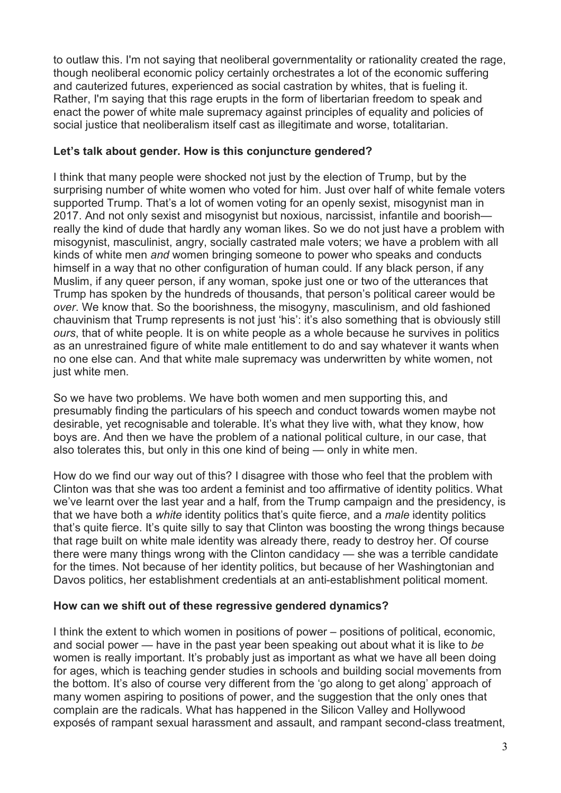to outlaw this. I'm not saying that neoliberal governmentality or rationality created the rage, though neoliberal economic policy certainly orchestrates a lot of the economic suffering and cauterized futures, experienced as social castration by whites, that is fueling it. Rather, I'm saying that this rage erupts in the form of libertarian freedom to speak and enact the power of white male supremacy against principles of equality and policies of social justice that neoliberalism itself cast as illegitimate and worse, totalitarian.

# **Let's talk about gender. How is this conjuncture gendered?**

I think that many people were shocked not just by the election of Trump, but by the surprising number of white women who voted for him. Just over half of white female voters supported Trump. That's a lot of women voting for an openly sexist, misogynist man in 2017. And not only sexist and misogynist but noxious, narcissist, infantile and boorish really the kind of dude that hardly any woman likes. So we do not just have a problem with misogynist, masculinist, angry, socially castrated male voters; we have a problem with all kinds of white men *and* women bringing someone to power who speaks and conducts himself in a way that no other configuration of human could. If any black person, if any Muslim, if any queer person, if any woman, spoke just one or two of the utterances that Trump has spoken by the hundreds of thousands, that person's political career would be *over*. We know that. So the boorishness, the misogyny, masculinism, and old fashioned chauvinism that Trump represents is not just 'his': it's also something that is obviously still *ours*, that of white people. It is on white people as a whole because he survives in politics as an unrestrained figure of white male entitlement to do and say whatever it wants when no one else can. And that white male supremacy was underwritten by white women, not just white men.

So we have two problems. We have both women and men supporting this, and presumably finding the particulars of his speech and conduct towards women maybe not desirable, yet recognisable and tolerable. It's what they live with, what they know, how boys are. And then we have the problem of a national political culture, in our case, that also tolerates this, but only in this one kind of being — only in white men.

How do we find our way out of this? I disagree with those who feel that the problem with Clinton was that she was too ardent a feminist and too affirmative of identity politics. What we've learnt over the last year and a half, from the Trump campaign and the presidency, is that we have both a *white* identity politics that's quite fierce, and a *male* identity politics that's quite fierce. It's quite silly to say that Clinton was boosting the wrong things because that rage built on white male identity was already there, ready to destroy her. Of course there were many things wrong with the Clinton candidacy — she was a terrible candidate for the times. Not because of her identity politics, but because of her Washingtonian and Davos politics, her establishment credentials at an anti-establishment political moment.

# **How can we shift out of these regressive gendered dynamics?**

I think the extent to which women in positions of power – positions of political, economic, and social power — have in the past year been speaking out about what it is like to *be* women is really important. It's probably just as important as what we have all been doing for ages, which is teaching gender studies in schools and building social movements from the bottom. It's also of course very different from the 'go along to get along' approach of many women aspiring to positions of power, and the suggestion that the only ones that complain are the radicals. What has happened in the Silicon Valley and Hollywood exposés of rampant sexual harassment and assault, and rampant second-class treatment,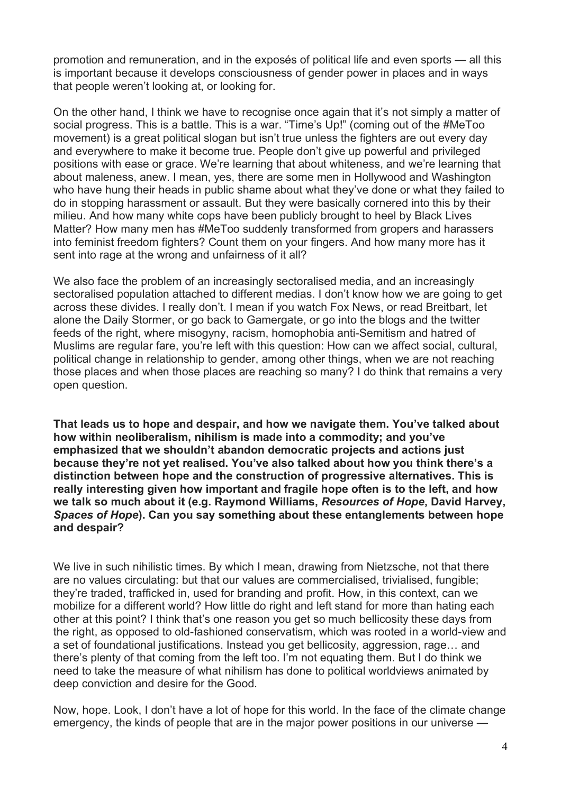promotion and remuneration, and in the exposés of political life and even sports — all this is important because it develops consciousness of gender power in places and in ways that people weren't looking at, or looking for.

On the other hand, I think we have to recognise once again that it's not simply a matter of social progress. This is a battle. This is a war. "Time's Up!" (coming out of the #MeToo movement) is a great political slogan but isn't true unless the fighters are out every day and everywhere to make it become true. People don't give up powerful and privileged positions with ease or grace. We're learning that about whiteness, and we're learning that about maleness, anew. I mean, yes, there are some men in Hollywood and Washington who have hung their heads in public shame about what they've done or what they failed to do in stopping harassment or assault. But they were basically cornered into this by their milieu. And how many white cops have been publicly brought to heel by Black Lives Matter? How many men has #MeToo suddenly transformed from gropers and harassers into feminist freedom fighters? Count them on your fingers. And how many more has it sent into rage at the wrong and unfairness of it all?

We also face the problem of an increasingly sectoralised media, and an increasingly sectoralised population attached to different medias. I don't know how we are going to get across these divides. I really don't. I mean if you watch Fox News, or read Breitbart, let alone the Daily Stormer, or go back to Gamergate, or go into the blogs and the twitter feeds of the right, where misogyny, racism, homophobia anti-Semitism and hatred of Muslims are regular fare, you're left with this question: How can we affect social, cultural, political change in relationship to gender, among other things, when we are not reaching those places and when those places are reaching so many? I do think that remains a very open question.

**That leads us to hope and despair, and how we navigate them. You've talked about how within neoliberalism, nihilism is made into a commodity; and you've emphasized that we shouldn't abandon democratic projects and actions just because they're not yet realised. You've also talked about how you think there's a distinction between hope and the construction of progressive alternatives. This is really interesting given how important and fragile hope often is to the left, and how we talk so much about it (e.g. Raymond Williams,** *Resources of Hope***, David Harvey,** *Spaces of Hope***). Can you say something about these entanglements between hope and despair?**

We live in such nihilistic times. By which I mean, drawing from Nietzsche, not that there are no values circulating: but that our values are commercialised, trivialised, fungible; they're traded, trafficked in, used for branding and profit. How, in this context, can we mobilize for a different world? How little do right and left stand for more than hating each other at this point? I think that's one reason you get so much bellicosity these days from the right, as opposed to old-fashioned conservatism, which was rooted in a world-view and a set of foundational justifications. Instead you get bellicosity, aggression, rage… and there's plenty of that coming from the left too. I'm not equating them. But I do think we need to take the measure of what nihilism has done to political worldviews animated by deep conviction and desire for the Good.

Now, hope. Look, I don't have a lot of hope for this world. In the face of the climate change emergency, the kinds of people that are in the major power positions in our universe —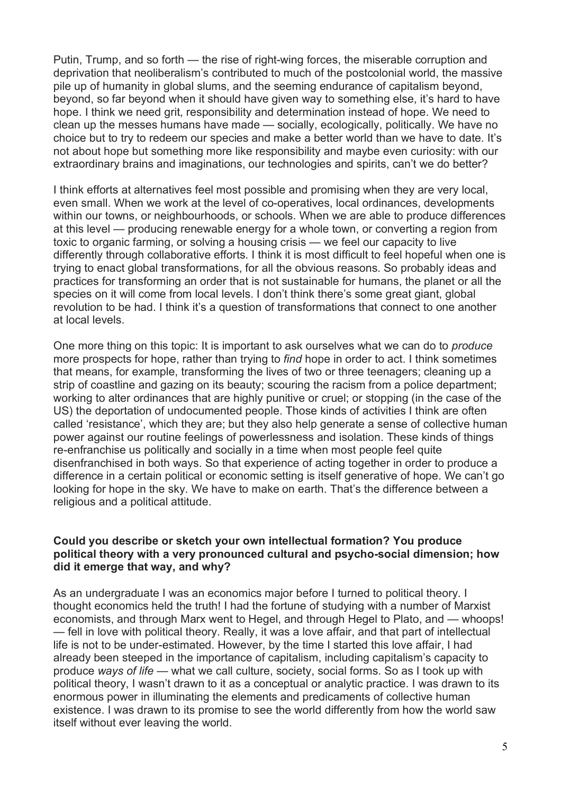Putin, Trump, and so forth — the rise of right-wing forces, the miserable corruption and deprivation that neoliberalism's contributed to much of the postcolonial world, the massive pile up of humanity in global slums, and the seeming endurance of capitalism beyond, beyond, so far beyond when it should have given way to something else, it's hard to have hope. I think we need grit, responsibility and determination instead of hope. We need to clean up the messes humans have made — socially, ecologically, politically. We have no choice but to try to redeem our species and make a better world than we have to date. It's not about hope but something more like responsibility and maybe even curiosity: with our extraordinary brains and imaginations, our technologies and spirits, can't we do better?

I think efforts at alternatives feel most possible and promising when they are very local, even small. When we work at the level of co-operatives, local ordinances, developments within our towns, or neighbourhoods, or schools. When we are able to produce differences at this level — producing renewable energy for a whole town, or converting a region from toxic to organic farming, or solving a housing crisis — we feel our capacity to live differently through collaborative efforts. I think it is most difficult to feel hopeful when one is trying to enact global transformations, for all the obvious reasons. So probably ideas and practices for transforming an order that is not sustainable for humans, the planet or all the species on it will come from local levels. I don't think there's some great giant, global revolution to be had. I think it's a question of transformations that connect to one another at local levels.

One more thing on this topic: It is important to ask ourselves what we can do to *produce* more prospects for hope, rather than trying to *find* hope in order to act. I think sometimes that means, for example, transforming the lives of two or three teenagers; cleaning up a strip of coastline and gazing on its beauty; scouring the racism from a police department; working to alter ordinances that are highly punitive or cruel; or stopping (in the case of the US) the deportation of undocumented people. Those kinds of activities I think are often called 'resistance', which they are; but they also help generate a sense of collective human power against our routine feelings of powerlessness and isolation. These kinds of things re-enfranchise us politically and socially in a time when most people feel quite disenfranchised in both ways. So that experience of acting together in order to produce a difference in a certain political or economic setting is itself generative of hope. We can't go looking for hope in the sky. We have to make on earth. That's the difference between a religious and a political attitude.

#### **Could you describe or sketch your own intellectual formation? You produce political theory with a very pronounced cultural and psycho-social dimension; how did it emerge that way, and why?**

As an undergraduate I was an economics major before I turned to political theory. I thought economics held the truth! I had the fortune of studying with a number of Marxist economists, and through Marx went to Hegel, and through Hegel to Plato, and — whoops! — fell in love with political theory. Really, it was a love affair, and that part of intellectual life is not to be under-estimated. However, by the time I started this love affair, I had already been steeped in the importance of capitalism, including capitalism's capacity to produce *ways of life* — what we call culture, society, social forms. So as I took up with political theory, I wasn't drawn to it as a conceptual or analytic practice. I was drawn to its enormous power in illuminating the elements and predicaments of collective human existence. I was drawn to its promise to see the world differently from how the world saw itself without ever leaving the world.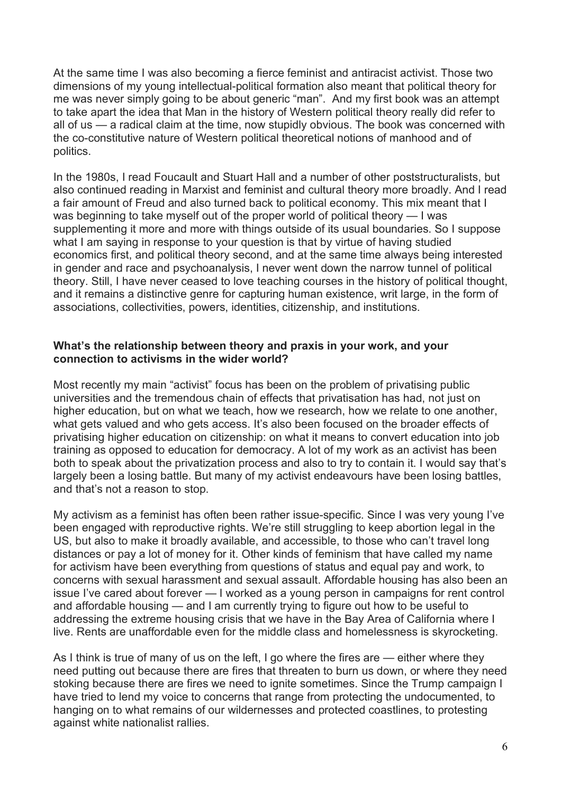At the same time I was also becoming a fierce feminist and antiracist activist. Those two dimensions of my young intellectual-political formation also meant that political theory for me was never simply going to be about generic "man". And my first book was an attempt to take apart the idea that Man in the history of Western political theory really did refer to all of us — a radical claim at the time, now stupidly obvious. The book was concerned with the co-constitutive nature of Western political theoretical notions of manhood and of politics.

In the 1980s, I read Foucault and Stuart Hall and a number of other poststructuralists, but also continued reading in Marxist and feminist and cultural theory more broadly. And I read a fair amount of Freud and also turned back to political economy. This mix meant that I was beginning to take myself out of the proper world of political theory — I was supplementing it more and more with things outside of its usual boundaries. So I suppose what I am saying in response to your question is that by virtue of having studied economics first, and political theory second, and at the same time always being interested in gender and race and psychoanalysis, I never went down the narrow tunnel of political theory. Still, I have never ceased to love teaching courses in the history of political thought, and it remains a distinctive genre for capturing human existence, writ large, in the form of associations, collectivities, powers, identities, citizenship, and institutions.

# **What's the relationship between theory and praxis in your work, and your connection to activisms in the wider world?**

Most recently my main "activist" focus has been on the problem of privatising public universities and the tremendous chain of effects that privatisation has had, not just on higher education, but on what we teach, how we research, how we relate to one another, what gets valued and who gets access. It's also been focused on the broader effects of privatising higher education on citizenship: on what it means to convert education into job training as opposed to education for democracy. A lot of my work as an activist has been both to speak about the privatization process and also to try to contain it. I would say that's largely been a losing battle. But many of my activist endeavours have been losing battles, and that's not a reason to stop.

My activism as a feminist has often been rather issue-specific. Since I was very young I've been engaged with reproductive rights. We're still struggling to keep abortion legal in the US, but also to make it broadly available, and accessible, to those who can't travel long distances or pay a lot of money for it. Other kinds of feminism that have called my name for activism have been everything from questions of status and equal pay and work, to concerns with sexual harassment and sexual assault. Affordable housing has also been an issue I've cared about forever — I worked as a young person in campaigns for rent control and affordable housing — and I am currently trying to figure out how to be useful to addressing the extreme housing crisis that we have in the Bay Area of California where I live. Rents are unaffordable even for the middle class and homelessness is skyrocketing.

As I think is true of many of us on the left, I go where the fires are — either where they need putting out because there are fires that threaten to burn us down, or where they need stoking because there are fires we need to ignite sometimes. Since the Trump campaign I have tried to lend my voice to concerns that range from protecting the undocumented, to hanging on to what remains of our wildernesses and protected coastlines, to protesting against white nationalist rallies.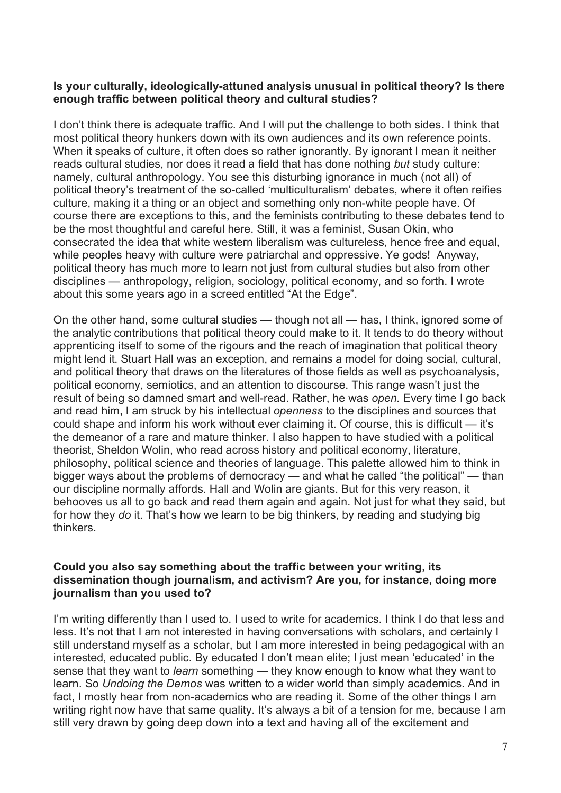# **Is your culturally, ideologically-attuned analysis unusual in political theory? Is there enough traffic between political theory and cultural studies?**

I don't think there is adequate traffic. And I will put the challenge to both sides. I think that most political theory hunkers down with its own audiences and its own reference points. When it speaks of culture, it often does so rather ignorantly. By ignorant I mean it neither reads cultural studies, nor does it read a field that has done nothing *but* study culture: namely, cultural anthropology. You see this disturbing ignorance in much (not all) of political theory's treatment of the so-called 'multiculturalism' debates, where it often reifies culture, making it a thing or an object and something only non-white people have. Of course there are exceptions to this, and the feminists contributing to these debates tend to be the most thoughtful and careful here. Still, it was a feminist, Susan Okin, who consecrated the idea that white western liberalism was cultureless, hence free and equal, while peoples heavy with culture were patriarchal and oppressive. Ye gods! Anyway, political theory has much more to learn not just from cultural studies but also from other disciplines — anthropology, religion, sociology, political economy, and so forth. I wrote about this some years ago in a screed entitled "At the Edge".

On the other hand, some cultural studies — though not all — has, I think, ignored some of the analytic contributions that political theory could make to it. It tends to do theory without apprenticing itself to some of the rigours and the reach of imagination that political theory might lend it. Stuart Hall was an exception, and remains a model for doing social, cultural, and political theory that draws on the literatures of those fields as well as psychoanalysis, political economy, semiotics, and an attention to discourse. This range wasn't just the result of being so damned smart and well-read. Rather, he was *open.* Every time I go back and read him, I am struck by his intellectual *openness* to the disciplines and sources that could shape and inform his work without ever claiming it. Of course, this is difficult — it's the demeanor of a rare and mature thinker. I also happen to have studied with a political theorist, Sheldon Wolin, who read across history and political economy, literature, philosophy, political science and theories of language. This palette allowed him to think in bigger ways about the problems of democracy — and what he called "the political" — than our discipline normally affords. Hall and Wolin are giants. But for this very reason, it behooves us all to go back and read them again and again. Not just for what they said, but for how they *do* it. That's how we learn to be big thinkers, by reading and studying big thinkers.

#### **Could you also say something about the traffic between your writing, its dissemination though journalism, and activism? Are you, for instance, doing more journalism than you used to?**

I'm writing differently than I used to. I used to write for academics. I think I do that less and less. It's not that I am not interested in having conversations with scholars, and certainly I still understand myself as a scholar, but I am more interested in being pedagogical with an interested, educated public. By educated I don't mean elite; I just mean 'educated' in the sense that they want to *learn* something — they know enough to know what they want to learn. So *Undoing the Demos* was written to a wider world than simply academics. And in fact, I mostly hear from non-academics who are reading it. Some of the other things I am writing right now have that same quality. It's always a bit of a tension for me, because I am still very drawn by going deep down into a text and having all of the excitement and